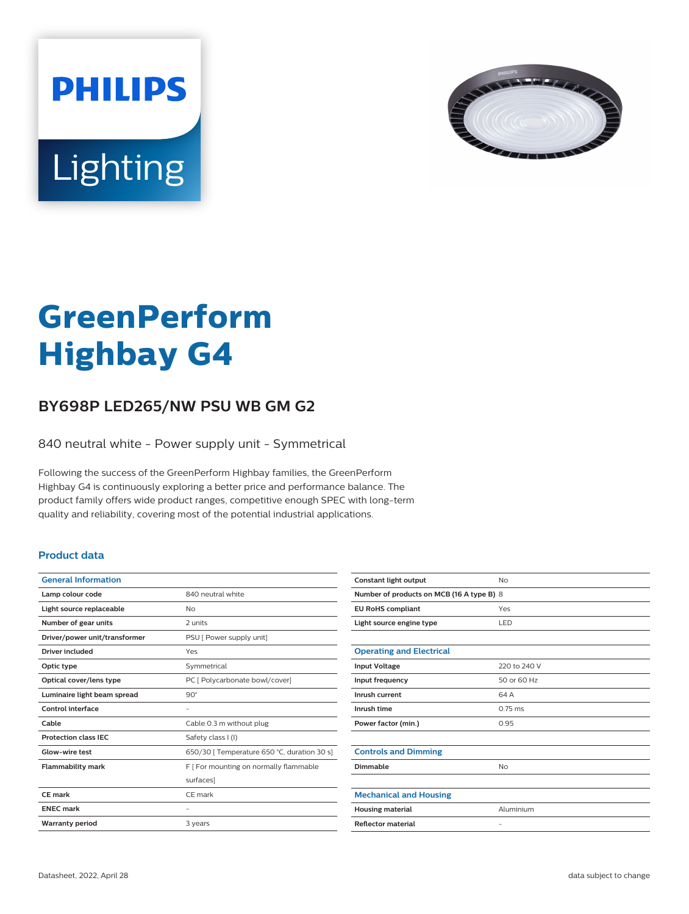



# **GreenPerform Highbay G4**

## **BY698P LED265/NW PSU WB GM G2**

840 neutral white - Power supply unit - Symmetrical

Following the success of the GreenPerform Highbay families, the GreenPerform Highbay G4 is continuously exploring a better price and performance balance. The product family offers wide product ranges, competitive enough SPEC with long-term quality and reliability, covering most of the potential industrial applications.

### **Product data**

| <b>General Information</b>    |                                             |
|-------------------------------|---------------------------------------------|
| Lamp colour code              | 840 neutral white                           |
| Light source replaceable      | No                                          |
| Number of gear units          | 2 units                                     |
| Driver/power unit/transformer | PSU [ Power supply unit]                    |
| <b>Driver included</b>        | Yes                                         |
| Optic type                    | Symmetrical                                 |
| Optical cover/lens type       | PC [ Polycarbonate bowl/cover]              |
| Luminaire light beam spread   | $90^\circ$                                  |
| Control interface             |                                             |
| Cable                         | Cable 0.3 m without plug                    |
| <b>Protection class IEC</b>   | Safety class I (I)                          |
| Glow-wire test                | 650/30   Temperature 650 °C, duration 30 s] |
| <b>Flammability mark</b>      | F [ For mounting on normally flammable      |
|                               | surfaces]                                   |
| CF mark                       | CF mark                                     |
| <b>ENEC mark</b>              |                                             |
| <b>Warranty period</b>        | 3 years                                     |
|                               |                                             |

| Constant light output                     | No                |  |
|-------------------------------------------|-------------------|--|
| Number of products on MCB (16 A type B) 8 |                   |  |
| <b>EU RoHS compliant</b>                  | Yes               |  |
| Light source engine type                  | LED               |  |
|                                           |                   |  |
| <b>Operating and Electrical</b>           |                   |  |
| <b>Input Voltage</b>                      | 220 to 240 V      |  |
| Input frequency                           | 50 or 60 Hz       |  |
| Inrush current                            | 64 A              |  |
| Inrush time                               | $0.75$ ms         |  |
| Power factor (min.)                       | 0.95              |  |
|                                           |                   |  |
| <b>Controls and Dimming</b>               |                   |  |
| Dimmable                                  | No                |  |
|                                           |                   |  |
| <b>Mechanical and Housing</b>             |                   |  |
| <b>Housing material</b>                   | Aluminium         |  |
| <b>Reflector material</b>                 | $\qquad \qquad -$ |  |
|                                           |                   |  |